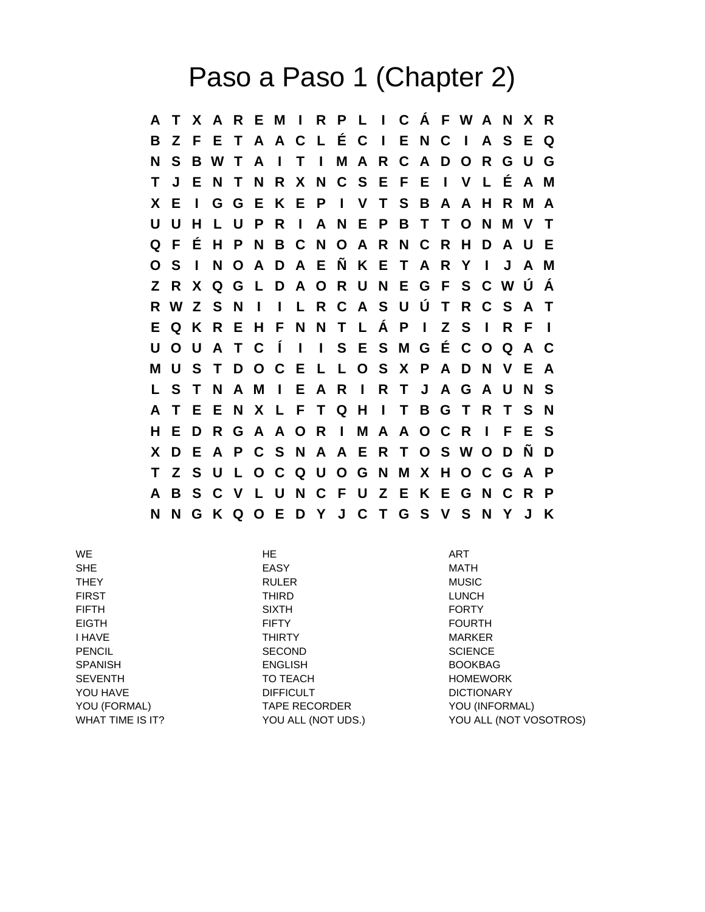## Paso a Paso 1 (Chapter 2)

**A T X A R E M I R P L I C Á F W A N X R B Z F E T A A C L É C I E N C I A S E Q N S B W T A I T I M A R C A D O R G U G T J E N T N R X N C S E F E I V L É A M X E I G G E K E P I V T S B A A H R M A U U H L U P R I A N E P B T T O N M V T Q F É H P N B C N O A R N C R H D A U E O S I N O A D A E Ñ K E T A R Y I J A M Z R X Q G L D A O R U N E G F S C W Ú Á R W Z S N I I L R C A S U Ú T R C S A T E Q K R E H F N N T L Á P I Z S I R F I U O U A T C Í I I S E S M G É C O Q A C M U S T D O C E L L O S X P A D N V E A L S T N A M I E A R I R T J A G A U N S A T E E N X L F T Q H I T B G T R T S N H E D R G A A O R I M A A O C R I F E S X D E A P C S N A A E R T O S W O D Ñ D T Z S U L O C Q U O G N M X H O C G A P A B S C V L U N C F U Z E K E G N C R P N N G K Q O E D Y J C T G S V S N Y J K**

WE the contract of the contract of the HE and the contract of the contract of the contract of the contract of the contract of the contract of the contract of the contract of the contract of the contract of the contract of SHE EASY MATH THEY RULER MUSIC FIRST THIRD LUNCH FIFTH SIXTH FORTY EIGTH FIFTY FOURTH I HAVE THIRTY MARKER PENCIL SECOND SECOND SCIENCE SPANISH ENGLISH BOOKBAG SEVENTH TO TEACH TO TEACH HOMEWORK YOU HAVE **DIFFICULT DIFFICULT DIFFICULT DICTIONARY** YOU (FORMAL) TAPE RECORDER YOU (INFORMAL) WHAT TIME IS IT? YOU ALL (NOT UDS.) YOU ALL (NOT VOSOTROS)